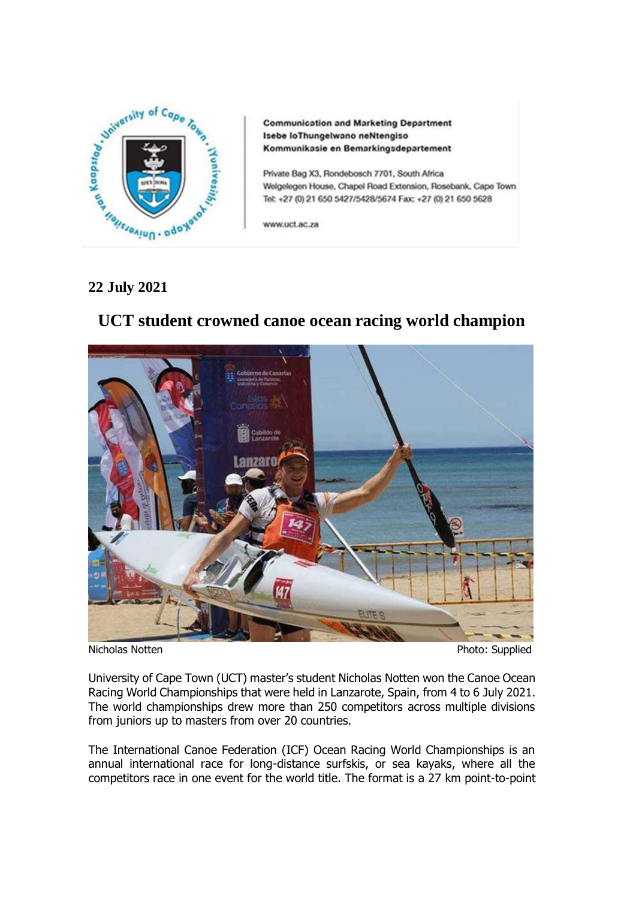

**Communication and Marketing Department** Isebe loThungelwano neNtengiso Kommunikasie en Bemarkingsdepartement

Private Bag X3, Rondebosch 7701, South Africa Welgelegen House, Chapel Road Extension, Rosebank, Cape Town Tel: +27 (0) 21 650 5427/5428/5674 Fax: +27 (0) 21 650 5628

www.uct.ac.za

## **22 July 2021**

# **UCT student crowned canoe ocean racing world champion**



Nicholas Notten **Photo: Supplied** 

University of Cape Town (UCT) master's student Nicholas Notten won the Canoe Ocean Racing World Championships that were held in Lanzarote, Spain, from 4 to 6 July 2021. The world championships drew more than 250 competitors across multiple divisions from juniors up to masters from over 20 countries.

The International Canoe Federation (ICF) Ocean Racing World Championships is an annual international race for long-distance surfskis, or sea kayaks, where all the competitors race in one event for the world title. The format is a 27 km point-to-point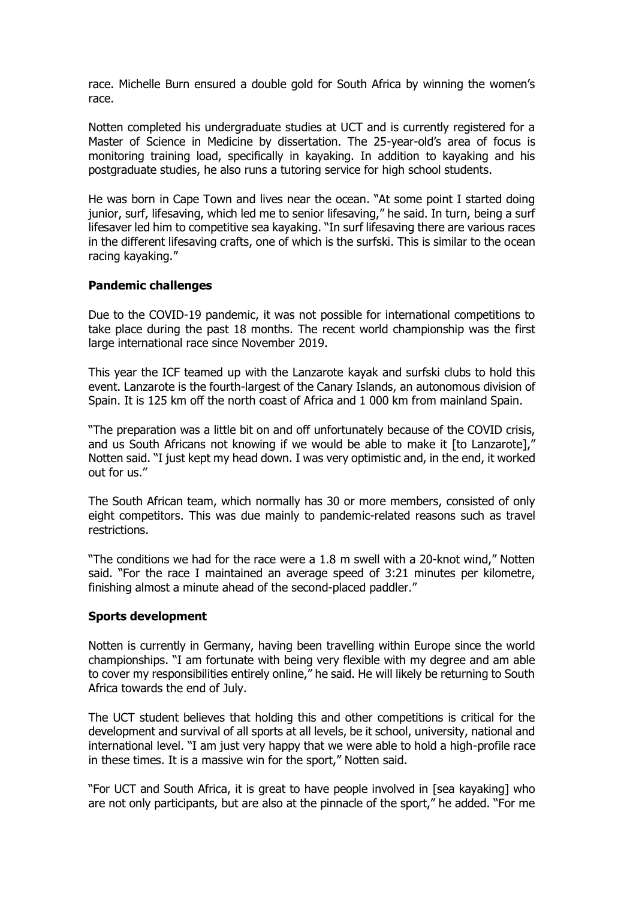race. Michelle Burn ensured a double gold for South Africa by winning the women's race.

Notten completed his undergraduate studies at UCT and is currently registered for a Master of Science in Medicine by dissertation. The 25-year-old's area of focus is monitoring training load, specifically in kayaking. In addition to kayaking and his postgraduate studies, he also runs a tutoring service for high school students.

He was born in Cape Town and lives near the ocean. "At some point I started doing junior, surf, lifesaving, which led me to senior lifesaving," he said. In turn, being a surf lifesaver led him to competitive sea kayaking. "In surf lifesaving there are various races in the different lifesaving crafts, one of which is the surfski. This is similar to the ocean racing kayaking."

#### **Pandemic challenges**

Due to the COVID-19 pandemic, it was not possible for international competitions to take place during the past 18 months. The recent world championship was the first large international race since November 2019.

This year the ICF teamed up with the Lanzarote kayak and surfski clubs to hold this event. Lanzarote is the fourth-largest of the Canary Islands, an autonomous division of Spain. It is 125 km off the north coast of Africa and 1 000 km from mainland Spain.

"The preparation was a little bit on and off unfortunately because of the COVID crisis, and us South Africans not knowing if we would be able to make it [to Lanzarote],' Notten said. "I just kept my head down. I was very optimistic and, in the end, it worked out for us."

The South African team, which normally has 30 or more members, consisted of only eight competitors. This was due mainly to pandemic-related reasons such as travel restrictions.

"The conditions we had for the race were a 1.8 m swell with a 20-knot wind," Notten said. "For the race I maintained an average speed of 3:21 minutes per kilometre, finishing almost a minute ahead of the second-placed paddler."

#### **Sports development**

Notten is currently in Germany, having been travelling within Europe since the world championships. "I am fortunate with being very flexible with my degree and am able to cover my responsibilities entirely online," he said. He will likely be returning to South Africa towards the end of July.

The UCT student believes that holding this and other competitions is critical for the development and survival of all sports at all levels, be it school, university, national and international level. "I am just very happy that we were able to hold a high-profile race in these times. It is a massive win for the sport," Notten said.

"For UCT and South Africa, it is great to have people involved in [sea kayaking] who are not only participants, but are also at the pinnacle of the sport," he added. "For me